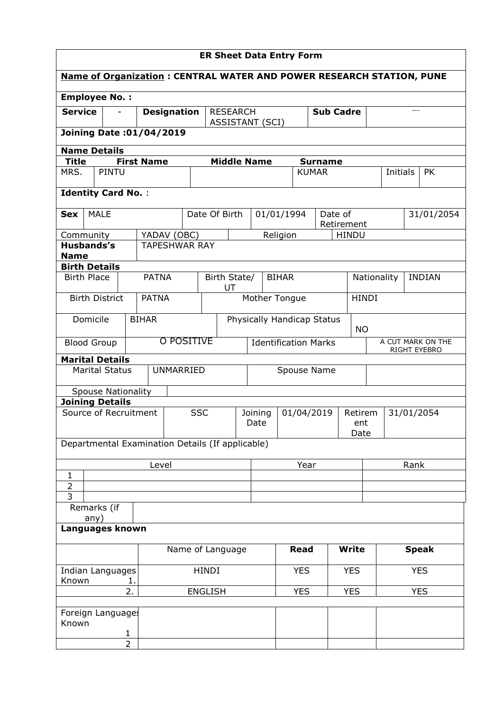| <b>ER Sheet Data Entry Form</b>                                             |                                       |                   |                                     |                            |                                             |                 |                                                    |              |                |              |                              |          |                   |            |
|-----------------------------------------------------------------------------|---------------------------------------|-------------------|-------------------------------------|----------------------------|---------------------------------------------|-----------------|----------------------------------------------------|--------------|----------------|--------------|------------------------------|----------|-------------------|------------|
| <b>Name of Organization: CENTRAL WATER AND POWER RESEARCH STATION, PUNE</b> |                                       |                   |                                     |                            |                                             |                 |                                                    |              |                |              |                              |          |                   |            |
| <b>Employee No.:</b>                                                        |                                       |                   |                                     |                            |                                             |                 |                                                    |              |                |              |                              |          |                   |            |
| <b>Service</b>                                                              |                                       |                   | <b>Designation</b>                  | <b>RESEARCH</b>            |                                             |                 | <b>Sub Cadre</b><br><b>ASSISTANT (SCI)</b>         |              |                |              |                              |          | $---$             |            |
| <b>Joining Date: 01/04/2019</b>                                             |                                       |                   |                                     |                            |                                             |                 |                                                    |              |                |              |                              |          |                   |            |
| <b>Name Details</b>                                                         |                                       |                   |                                     |                            |                                             |                 |                                                    |              |                |              |                              |          |                   |            |
| <b>Title</b>                                                                |                                       | <b>First Name</b> |                                     | <b>Middle Name</b>         |                                             |                 |                                                    |              | <b>Surname</b> |              |                              |          |                   |            |
| MRS.                                                                        | PINTU                                 |                   |                                     |                            |                                             |                 |                                                    | <b>KUMAR</b> |                |              |                              | Initials |                   | <b>PK</b>  |
| <b>Identity Card No.:</b>                                                   |                                       |                   |                                     |                            |                                             |                 |                                                    |              |                |              |                              |          |                   |            |
| <b>MALE</b><br><b>Sex</b>                                                   |                                       |                   |                                     | Date Of Birth              |                                             |                 | 01/01/1994                                         |              | Date of        |              |                              |          |                   | 31/01/2054 |
|                                                                             |                                       |                   |                                     |                            |                                             |                 |                                                    |              |                | Retirement   |                              |          |                   |            |
| Community<br><b>Husbands's</b>                                              |                                       |                   | YADAV (OBC)<br><b>TAPESHWAR RAY</b> |                            |                                             |                 | Religion                                           |              |                | <b>HINDU</b> |                              |          |                   |            |
| <b>Name</b>                                                                 |                                       |                   |                                     |                            |                                             |                 |                                                    |              |                |              |                              |          |                   |            |
| <b>Birth Details</b>                                                        |                                       |                   |                                     |                            |                                             |                 |                                                    |              |                |              |                              |          |                   |            |
| <b>Birth Place</b>                                                          |                                       | <b>PATNA</b>      |                                     | Birth State/<br>UT         |                                             |                 | <b>BIHAR</b>                                       |              |                |              | Nationality<br><b>INDIAN</b> |          |                   |            |
|                                                                             | <b>Birth District</b><br><b>PATNA</b> |                   |                                     |                            | Mother Tongue<br><b>HINDI</b>               |                 |                                                    |              |                |              |                              |          |                   |            |
| Domicile                                                                    | <b>BIHAR</b>                          |                   |                                     | Physically Handicap Status |                                             |                 |                                                    |              |                |              |                              |          |                   |            |
|                                                                             | O POSITIVE                            |                   |                                     |                            |                                             |                 |                                                    |              | <b>NO</b>      |              |                              |          | A CUT MARK ON THE |            |
| <b>Blood Group</b>                                                          |                                       |                   |                                     |                            | <b>Identification Marks</b><br>RIGHT EYEBRO |                 |                                                    |              |                |              |                              |          |                   |            |
| <b>Marital Details</b>                                                      |                                       |                   |                                     |                            |                                             |                 |                                                    |              |                |              |                              |          |                   |            |
|                                                                             | <b>Marital Status</b>                 |                   | <b>UNMARRIED</b>                    |                            |                                             | Spouse Name     |                                                    |              |                |              |                              |          |                   |            |
|                                                                             | <b>Spouse Nationality</b>             |                   |                                     |                            |                                             |                 |                                                    |              |                |              |                              |          |                   |            |
| <b>Joining Details</b>                                                      |                                       |                   |                                     |                            |                                             |                 |                                                    |              |                |              |                              |          |                   |            |
| Source of Recruitment                                                       |                                       |                   | <b>SSC</b>                          |                            |                                             | Joining<br>Date | 01/04/2019<br>31/01/2054<br>Retirem<br>ent<br>Date |              |                |              |                              |          |                   |            |
| Departmental Examination Details (If applicable)                            |                                       |                   |                                     |                            |                                             |                 |                                                    |              |                |              |                              |          |                   |            |
|                                                                             |                                       | Level             |                                     |                            |                                             | Year            |                                                    |              |                |              | Rank                         |          |                   |            |
| 1                                                                           |                                       |                   |                                     |                            |                                             |                 |                                                    |              |                |              |                              |          |                   |            |
| $\overline{2}$<br>$\overline{3}$                                            |                                       |                   |                                     |                            |                                             |                 |                                                    |              |                |              |                              |          |                   |            |
| Remarks (if                                                                 |                                       |                   |                                     |                            |                                             |                 |                                                    |              |                |              |                              |          |                   |            |
| any)<br>Languages known                                                     |                                       |                   |                                     |                            |                                             |                 |                                                    |              |                |              |                              |          |                   |            |
|                                                                             |                                       |                   |                                     |                            |                                             |                 |                                                    |              |                |              |                              |          |                   |            |
|                                                                             | Name of Language                      |                   |                                     |                            |                                             | <b>Read</b>     |                                                    | <b>Write</b> |                |              | <b>Speak</b>                 |          |                   |            |
| Indian Languages<br>Known                                                   | 1.                                    |                   |                                     | HINDI                      |                                             |                 |                                                    | <b>YES</b>   |                | <b>YES</b>   |                              |          | <b>YES</b>        |            |
|                                                                             | 2.                                    |                   |                                     | <b>ENGLISH</b>             |                                             |                 |                                                    | <b>YES</b>   |                | <b>YES</b>   |                              |          | <b>YES</b>        |            |
| Foreign Languages                                                           |                                       |                   |                                     |                            |                                             |                 |                                                    |              |                |              |                              |          |                   |            |
| Known                                                                       |                                       |                   |                                     |                            |                                             |                 |                                                    |              |                |              |                              |          |                   |            |
|                                                                             | 1                                     |                   |                                     |                            |                                             |                 |                                                    |              |                |              |                              |          |                   |            |
|                                                                             | $\overline{2}$                        |                   |                                     |                            |                                             |                 |                                                    |              |                |              |                              |          |                   |            |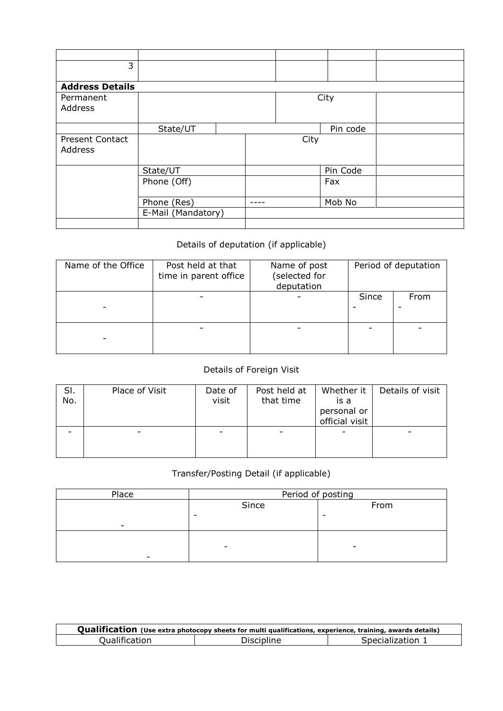| 3                      |                    |  |  |      |          |  |
|------------------------|--------------------|--|--|------|----------|--|
|                        |                    |  |  |      |          |  |
| <b>Address Details</b> |                    |  |  |      |          |  |
| Permanent              |                    |  |  |      | City     |  |
| Address                |                    |  |  |      |          |  |
|                        |                    |  |  |      |          |  |
|                        | State/UT           |  |  |      | Pin code |  |
| <b>Present Contact</b> |                    |  |  | City |          |  |
| Address                |                    |  |  |      |          |  |
|                        |                    |  |  |      |          |  |
|                        | State/UT           |  |  |      | Pin Code |  |
|                        | Phone (Off)        |  |  |      | Fax      |  |
|                        |                    |  |  |      |          |  |
|                        | Phone (Res)        |  |  |      | Mob No   |  |
|                        | E-Mail (Mandatory) |  |  |      |          |  |
|                        |                    |  |  |      |          |  |

## Details of deputation (if applicable)

| Name of the Office | Post held at that<br>time in parent office | Name of post<br>selected for)<br>deputation | Period of deputation |      |  |
|--------------------|--------------------------------------------|---------------------------------------------|----------------------|------|--|
|                    |                                            |                                             | Since                | From |  |
|                    |                                            |                                             |                      |      |  |

# Details of Foreign Visit

| SI.<br>No. | Place of Visit | Date of<br>visit | Post held at<br>that time | Whether it<br>is a<br>personal or<br>official visit | Details of visit |
|------------|----------------|------------------|---------------------------|-----------------------------------------------------|------------------|
|            |                |                  |                           |                                                     |                  |

# Transfer/Posting Detail (if applicable)

| Place | Period of posting        |      |  |  |  |  |
|-------|--------------------------|------|--|--|--|--|
|       | Since                    | From |  |  |  |  |
|       |                          |      |  |  |  |  |
| -     |                          |      |  |  |  |  |
|       |                          |      |  |  |  |  |
|       | $\overline{\phantom{0}}$ | -    |  |  |  |  |
| -     |                          |      |  |  |  |  |

| Qualification (Use extra photocopy sheets for multi qualifications, experience, training, awards details) |            |                  |  |  |  |  |  |  |  |
|-----------------------------------------------------------------------------------------------------------|------------|------------------|--|--|--|--|--|--|--|
| Qualification                                                                                             | Discipline | Specialization 1 |  |  |  |  |  |  |  |